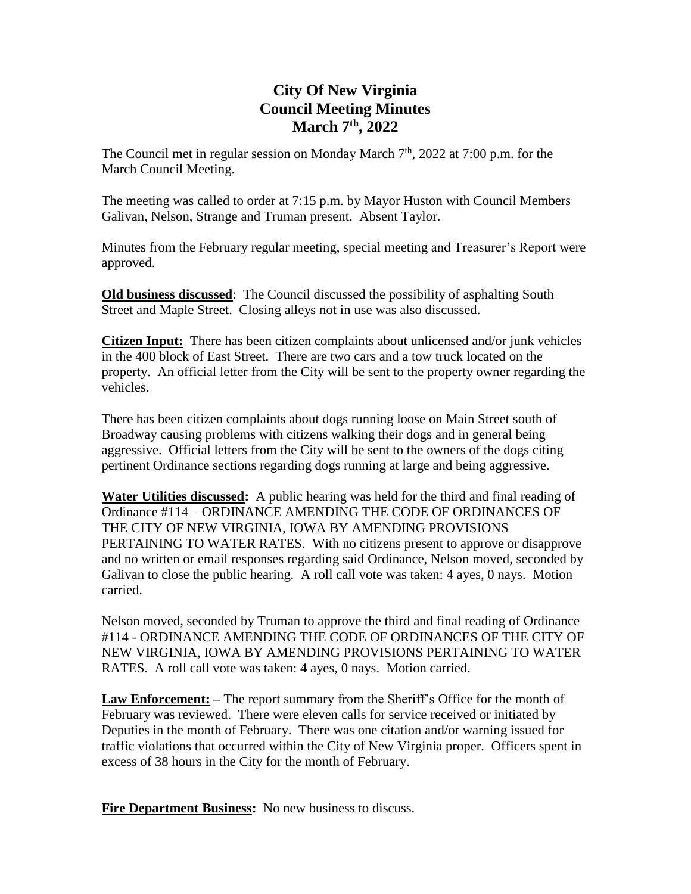## **City Of New Virginia Council Meeting Minutes March 7 th , 2022**

The Council met in regular session on Monday March  $7<sup>th</sup>$ , 2022 at 7:00 p.m. for the March Council Meeting.

The meeting was called to order at 7:15 p.m. by Mayor Huston with Council Members Galivan, Nelson, Strange and Truman present. Absent Taylor.

Minutes from the February regular meeting, special meeting and Treasurer's Report were approved.

**Old business discussed**: The Council discussed the possibility of asphalting South Street and Maple Street. Closing alleys not in use was also discussed.

**Citizen Input:** There has been citizen complaints about unlicensed and/or junk vehicles in the 400 block of East Street. There are two cars and a tow truck located on the property. An official letter from the City will be sent to the property owner regarding the vehicles.

There has been citizen complaints about dogs running loose on Main Street south of Broadway causing problems with citizens walking their dogs and in general being aggressive. Official letters from the City will be sent to the owners of the dogs citing pertinent Ordinance sections regarding dogs running at large and being aggressive.

**Water Utilities discussed:** A public hearing was held for the third and final reading of Ordinance #114 – ORDINANCE AMENDING THE CODE OF ORDINANCES OF THE CITY OF NEW VIRGINIA, IOWA BY AMENDING PROVISIONS PERTAINING TO WATER RATES. With no citizens present to approve or disapprove and no written or email responses regarding said Ordinance, Nelson moved, seconded by Galivan to close the public hearing. A roll call vote was taken: 4 ayes, 0 nays. Motion carried.

Nelson moved, seconded by Truman to approve the third and final reading of Ordinance #114 - ORDINANCE AMENDING THE CODE OF ORDINANCES OF THE CITY OF NEW VIRGINIA, IOWA BY AMENDING PROVISIONS PERTAINING TO WATER RATES. A roll call vote was taken: 4 ayes, 0 nays. Motion carried.

**Law Enforcement: –** The report summary from the Sheriff's Office for the month of February was reviewed. There were eleven calls for service received or initiated by Deputies in the month of February. There was one citation and/or warning issued for traffic violations that occurred within the City of New Virginia proper. Officers spent in excess of 38 hours in the City for the month of February.

Fire Department Business: No new business to discuss.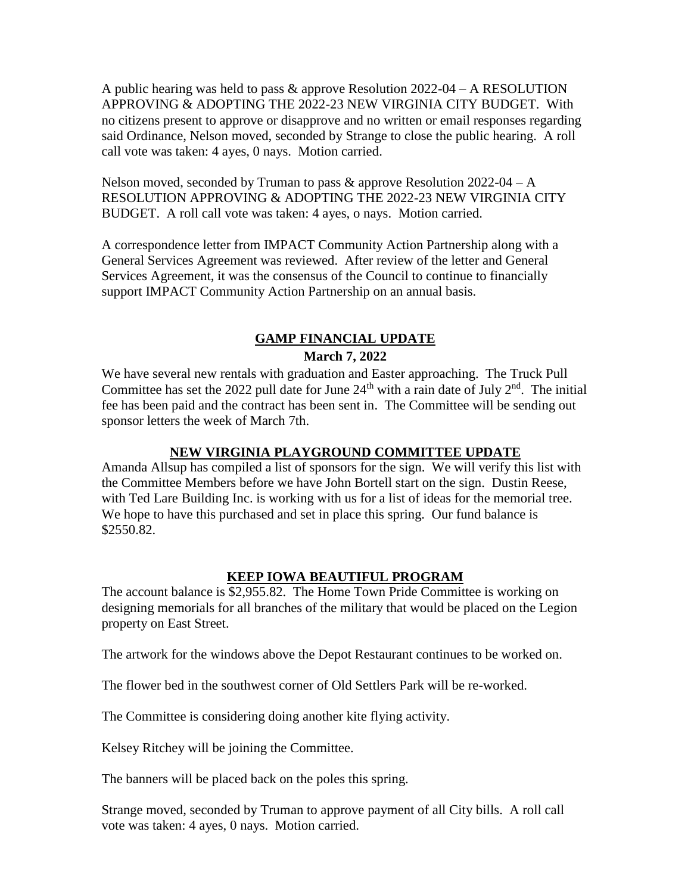A public hearing was held to pass & approve Resolution 2022-04 – A RESOLUTION APPROVING & ADOPTING THE 2022-23 NEW VIRGINIA CITY BUDGET. With no citizens present to approve or disapprove and no written or email responses regarding said Ordinance, Nelson moved, seconded by Strange to close the public hearing. A roll call vote was taken: 4 ayes, 0 nays. Motion carried.

Nelson moved, seconded by Truman to pass  $\&$  approve Resolution 2022-04 – A RESOLUTION APPROVING & ADOPTING THE 2022-23 NEW VIRGINIA CITY BUDGET. A roll call vote was taken: 4 ayes, o nays. Motion carried.

A correspondence letter from IMPACT Community Action Partnership along with a General Services Agreement was reviewed. After review of the letter and General Services Agreement, it was the consensus of the Council to continue to financially support IMPACT Community Action Partnership on an annual basis.

### **GAMP FINANCIAL UPDATE March 7, 2022**

We have several new rentals with graduation and Easter approaching. The Truck Pull Committee has set the 2022 pull date for June  $24<sup>th</sup>$  with a rain date of July  $2<sup>nd</sup>$ . The initial fee has been paid and the contract has been sent in. The Committee will be sending out sponsor letters the week of March 7th.

#### **NEW VIRGINIA PLAYGROUND COMMITTEE UPDATE**

Amanda Allsup has compiled a list of sponsors for the sign. We will verify this list with the Committee Members before we have John Bortell start on the sign. Dustin Reese, with Ted Lare Building Inc. is working with us for a list of ideas for the memorial tree. We hope to have this purchased and set in place this spring. Our fund balance is \$2550.82.

#### **KEEP IOWA BEAUTIFUL PROGRAM**

The account balance is \$2,955.82. The Home Town Pride Committee is working on designing memorials for all branches of the military that would be placed on the Legion property on East Street.

The artwork for the windows above the Depot Restaurant continues to be worked on.

The flower bed in the southwest corner of Old Settlers Park will be re-worked.

The Committee is considering doing another kite flying activity.

Kelsey Ritchey will be joining the Committee.

The banners will be placed back on the poles this spring.

Strange moved, seconded by Truman to approve payment of all City bills. A roll call vote was taken: 4 ayes, 0 nays. Motion carried.